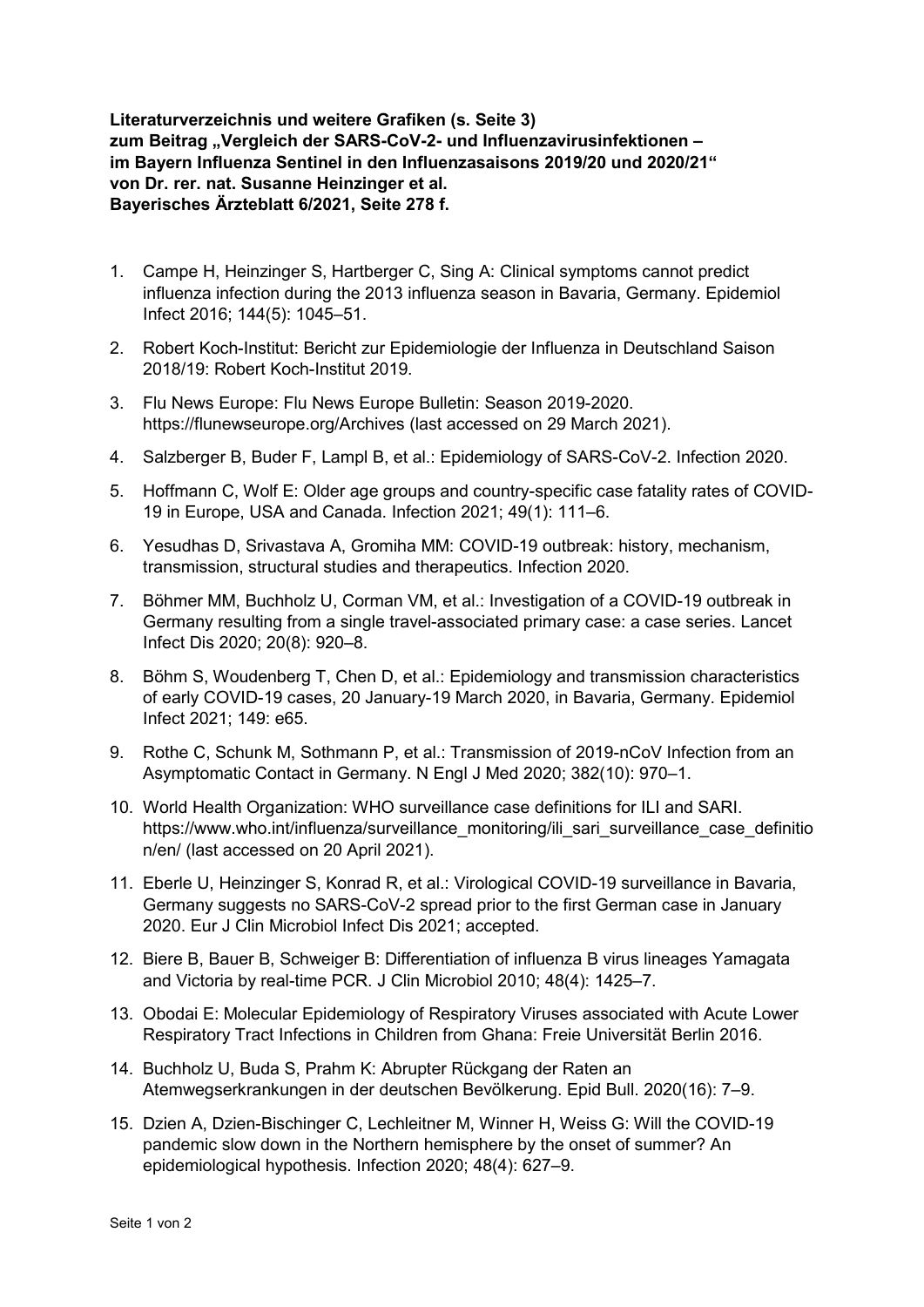**Literaturverzeichnis und weitere Grafiken (s. Seite 3) zum Beitrag "Vergleich der SARS-CoV-2- und Influenzavirusinfektionen – im Bayern Influenza Sentinel in den Influenzasaisons 2019/20 und 2020/21" von Dr. rer. nat. Susanne Heinzinger et al. Bayerisches Ärzteblatt 6/2021, Seite 278 f.**

- 1. Campe H, Heinzinger S, Hartberger C, Sing A: Clinical symptoms cannot predict influenza infection during the 2013 influenza season in Bavaria, Germany. Epidemiol Infect 2016; 144(5): 1045–51.
- 2. Robert Koch-Institut: Bericht zur Epidemiologie der Influenza in Deutschland Saison 2018/19: Robert Koch-Institut 2019.
- 3. Flu News Europe: Flu News Europe Bulletin: Season 2019-2020. https://flunewseurope.org/Archives (last accessed on 29 March 2021).
- 4. Salzberger B, Buder F, Lampl B, et al.: Epidemiology of SARS-CoV-2. Infection 2020.
- 5. Hoffmann C, Wolf E: Older age groups and country-specific case fatality rates of COVID-19 in Europe, USA and Canada. Infection 2021; 49(1): 111–6.
- 6. Yesudhas D, Srivastava A, Gromiha MM: COVID-19 outbreak: history, mechanism, transmission, structural studies and therapeutics. Infection 2020.
- 7. Böhmer MM, Buchholz U, Corman VM, et al.: Investigation of a COVID-19 outbreak in Germany resulting from a single travel-associated primary case: a case series. Lancet Infect Dis 2020; 20(8): 920–8.
- 8. Böhm S, Woudenberg T, Chen D, et al.: Epidemiology and transmission characteristics of early COVID-19 cases, 20 January-19 March 2020, in Bavaria, Germany. Epidemiol Infect 2021; 149: e65.
- 9. Rothe C, Schunk M, Sothmann P, et al.: Transmission of 2019-nCoV Infection from an Asymptomatic Contact in Germany. N Engl J Med 2020; 382(10): 970–1.
- 10. World Health Organization: WHO surveillance case definitions for ILI and SARI. https://www.who.int/influenza/surveillance\_monitoring/ili\_sari\_surveillance\_case\_definitio n/en/ (last accessed on 20 April 2021).
- 11. Eberle U, Heinzinger S, Konrad R, et al.: Virological COVID-19 surveillance in Bavaria, Germany suggests no SARS-CoV-2 spread prior to the first German case in January 2020. Eur J Clin Microbiol Infect Dis 2021; accepted.
- 12. Biere B, Bauer B, Schweiger B: Differentiation of influenza B virus lineages Yamagata and Victoria by real-time PCR. J Clin Microbiol 2010; 48(4): 1425–7.
- 13. Obodai E: Molecular Epidemiology of Respiratory Viruses associated with Acute Lower Respiratory Tract Infections in Children from Ghana: Freie Universität Berlin 2016.
- 14. Buchholz U, Buda S, Prahm K: Abrupter Rückgang der Raten an Atemwegserkrankungen in der deutschen Bevölkerung. Epid Bull. 2020(16): 7–9.
- 15. Dzien A, Dzien-Bischinger C, Lechleitner M, Winner H, Weiss G: Will the COVID-19 pandemic slow down in the Northern hemisphere by the onset of summer? An epidemiological hypothesis. Infection 2020; 48(4): 627–9.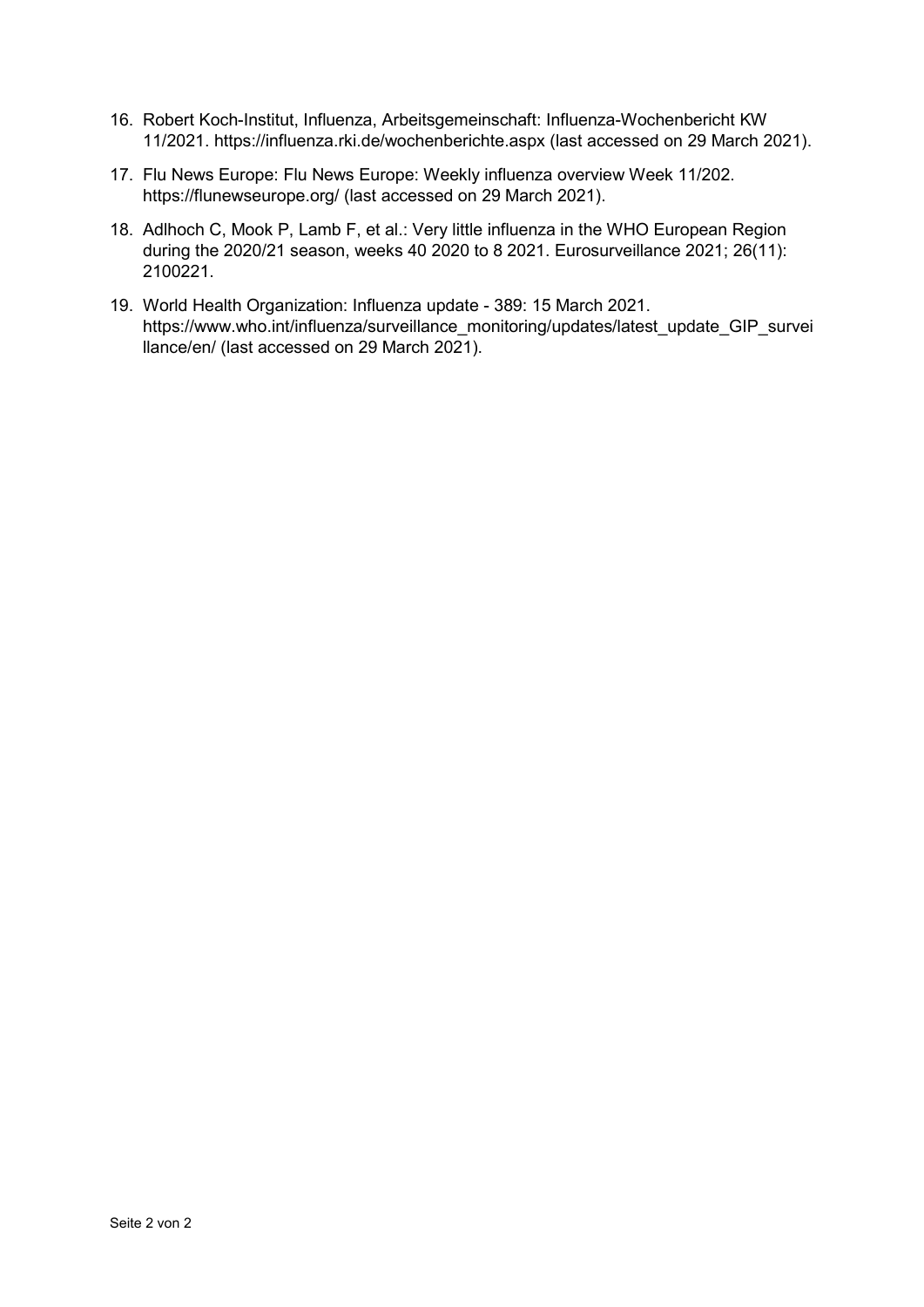- 16. Robert Koch-Institut, Influenza, Arbeitsgemeinschaft: Influenza-Wochenbericht KW 11/2021. https://influenza.rki.de/wochenberichte.aspx (last accessed on 29 March 2021).
- 17. Flu News Europe: Flu News Europe: Weekly influenza overview Week 11/202. https://flunewseurope.org/ (last accessed on 29 March 2021).
- 18. Adlhoch C, Mook P, Lamb F, et al.: Very little influenza in the WHO European Region during the 2020/21 season, weeks 40 2020 to 8 2021. Eurosurveillance 2021; 26(11): 2100221.
- 19. World Health Organization: Influenza update 389: 15 March 2021. https://www.who.int/influenza/surveillance\_monitoring/updates/latest\_update\_GIP\_survei llance/en/ (last accessed on 29 March 2021).